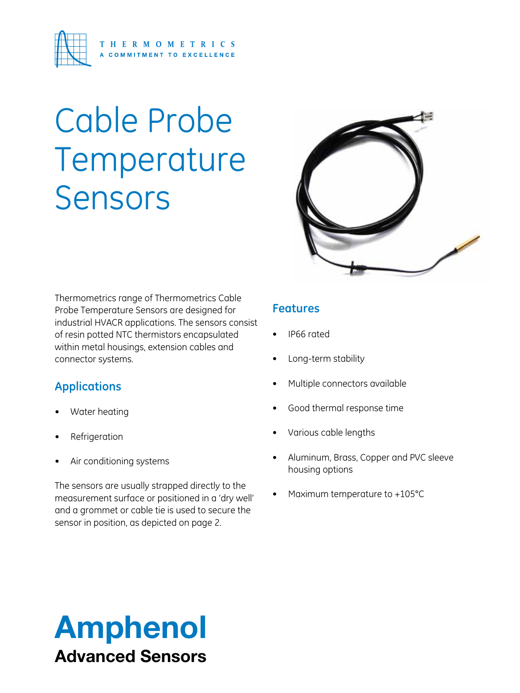

# Cable Probe Temperature Sensors



Thermometrics range of Thermometrics Cable Probe Temperature Sensors are designed for industrial HVACR applications. The sensors consist of resin potted NTC thermistors encapsulated within metal housings, extension cables and connector systems.

#### **Applications**

- Water heating
- **Refrigeration**
- Air conditioning systems

The sensors are usually strapped directly to the measurement surface or positioned in a 'dry well' and a grommet or cable tie is used to secure the sensor in position, as depicted on page 2.

#### **Features**

- • IP66 rated
- Long-term stability
- Multiple connectors available
- Good thermal response time
- Various cable lengths
- Aluminum, Brass, Copper and PVC sleeve housing options
- Maximum temperature to  $+105^{\circ}$ C

# Amphenol Advanced Sensors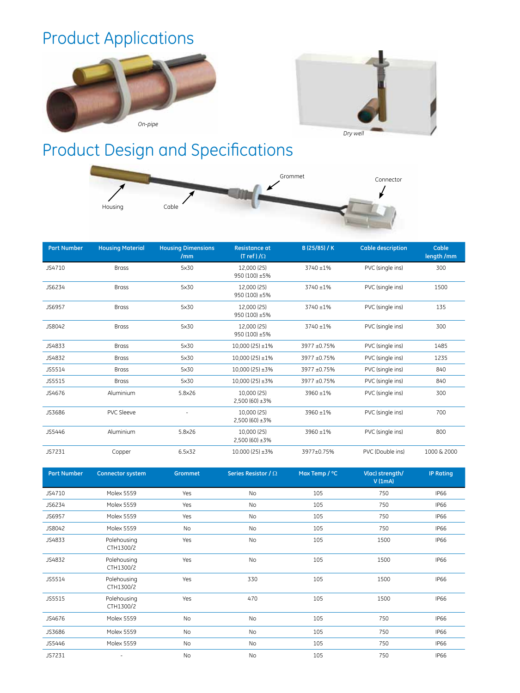### Product Applications





## Product Design and Specifications



| <b>Part Number</b> | <b>Housing Material</b> | <b>Housing Dimensions</b><br>/mm | <b>Resistance at</b><br>$(Tref)/\Omega$ | B (25/85) / K | <b>Cable description</b> | Cable<br>length /mm |
|--------------------|-------------------------|----------------------------------|-----------------------------------------|---------------|--------------------------|---------------------|
| JS4710             | <b>Brass</b>            | 5×30                             | 12.000 (25)<br>950 (100) ±5%            | 3740 ±1%      | PVC (single ins)         | 300                 |
| JS6234             | <b>Brass</b>            | 5×30                             | 12.000 (25)<br>950 (100) ±5%            | 3740 ±1%      | PVC (single ins)         | 1500                |
| JS6957             | <b>Brass</b>            | 5x30                             | 12.000 (25)<br>950 (100) ±5%            | 3740 ±1%      | PVC (single ins)         | 135                 |
| JS8042             | <b>Brass</b>            | 5×30                             | 12.000 (25)<br>950 (100) ±5%            | 3740 ±1%      | PVC (single ins)         | 300                 |
| JS4833             | <b>Brass</b>            | 5x30                             | $10,000(25) \pm 1\%$                    | 3977 ±0.75%   | PVC (single ins)         | 1485                |
| JS4832             | <b>Brass</b>            | 5x30                             | $10,000(25) \pm 1\%$                    | 3977 ±0.75%   | PVC (single ins)         | 1235                |
| JS5514             | <b>Brass</b>            | 5x30                             | $10,000(25) \pm 3\%$                    | 3977 ±0.75%   | PVC (single ins)         | 840                 |
| JS5515             | <b>Brass</b>            | 5x30                             | $10,000(25) \pm 3\%$                    | 3977 ±0.75%   | PVC (single ins)         | 840                 |
| JS4676             | Aluminium               | 5.8×26                           | 10.000 (25)<br>$2,500(60) \pm 3\%$      | 3960 ±1%      | PVC (single ins)         | 300                 |
| JS3686             | <b>PVC Sleeve</b>       |                                  | 10,000 (25)<br>$2,500(60) \pm 3\%$      | 3960 ±1%      | PVC (single ins)         | 700                 |
| JS5446             | Aluminium               | 5.8×26                           | 10,000 (25)<br>$2,500(60) \pm 3\%$      | 3960 ±1%      | PVC (single ins)         | 800                 |
| JS7231             | Copper                  | 6.5×32                           | $10,000(25) \pm 3\%$                    | 3977±0.75%    | PVC (Double ins)         | 1000 & 2000         |

| <b>Part Number</b> | <b>Connector system</b>  | Grommet   | Series Resistor / $\Omega$ | Max Temp / °C | V(ac) strength/<br>V(1mA) | <b>IP Rating</b> |
|--------------------|--------------------------|-----------|----------------------------|---------------|---------------------------|------------------|
| JS4710             | <b>Molex 5559</b>        | Yes       | <b>No</b>                  | 105           | 750                       | <b>IP66</b>      |
| JS6234             | <b>Molex 5559</b>        | Yes       | No                         | 105           | 750                       | <b>IP66</b>      |
| JS6957             | <b>Molex 5559</b>        | Yes       | <b>No</b>                  | 105           | 750                       | <b>IP66</b>      |
| JS8042             | <b>Molex 5559</b>        | No        | No                         | 105           | 750                       | <b>IP66</b>      |
| JS4833             | Polehousing<br>CTH1300/2 | Yes       | <b>No</b>                  | 105           | 1500                      | <b>IP66</b>      |
| JS4832             | Polehousing<br>CTH1300/2 | Yes       | No                         | 105           | 1500                      | <b>IP66</b>      |
| JS5514             | Polehousing<br>CTH1300/2 | Yes       | 330                        | 105           | 1500                      | <b>IP66</b>      |
| JS5515             | Polehousing<br>CTH1300/2 | Yes       | 470                        | 105           | 1500                      | <b>IP66</b>      |
| JS4676             | Molex 5559               | No        | No                         | 105           | 750                       | <b>IP66</b>      |
| JS3686             | Molex 5559               | No        | No                         | 105           | 750                       | <b>IP66</b>      |
| JS5446             | <b>Molex 5559</b>        | <b>No</b> | No                         | 105           | 750                       | <b>IP66</b>      |
| JS7231             | ٠                        | No        | <b>No</b>                  | 105           | 750                       | <b>IP66</b>      |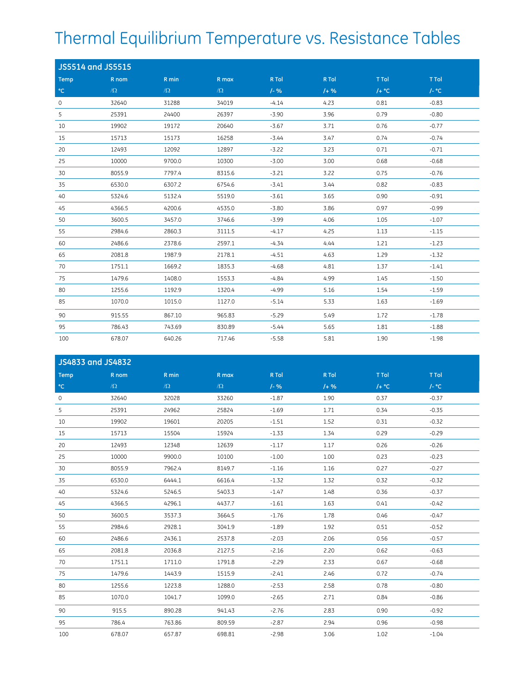## Thermal Equilibrium Temperature vs. Resistance Tables

| <b>JS5514 and JS5515</b> |          |          |          |          |         |          |         |
|--------------------------|----------|----------|----------|----------|---------|----------|---------|
| <b>Temp</b>              | R nom    | R min    | R max    | R Tol    | R Tol   | T Tol    | T Tol   |
| $^{\circ}$ C             | $\Omega$ | $\Omega$ | $\Omega$ | $1 - 96$ | $1 + %$ | $/$ + °C | $/-$ °C |
| $\circ$                  | 32640    | 31288    | 34019    | $-4.14$  | 4.23    | 0.81     | $-0.83$ |
| 5                        | 25391    | 24400    | 26397    | $-3.90$  | 3.96    | 0.79     | $-0.80$ |
| 10                       | 19902    | 19172    | 20640    | $-3.67$  | 3.71    | 0.76     | $-0.77$ |
| 15                       | 15713    | 15173    | 16258    | $-3.44$  | 3.47    | 0.74     | $-0.74$ |
| 20                       | 12493    | 12092    | 12897    | $-3.22$  | 3.23    | 0.71     | $-0.71$ |
| 25                       | 10000    | 9700.0   | 10300    | $-3.00$  | 3.00    | 0.68     | $-0.68$ |
| 30                       | 8055.9   | 7797.4   | 8315.6   | $-3.21$  | 3.22    | 0.75     | $-0.76$ |
| 35                       | 6530.0   | 6307.2   | 6754.6   | $-3.41$  | 3.44    | 0.82     | $-0.83$ |
| 40                       | 5324.6   | 5132.4   | 5519.0   | $-3.61$  | 3.65    | 0.90     | $-0.91$ |
| 45                       | 4366.5   | 4200.6   | 4535.0   | $-3.80$  | 3.86    | 0.97     | $-0.99$ |
| 50                       | 3600.5   | 3457.0   | 3746.6   | $-3.99$  | 4.06    | 1.05     | $-1.07$ |
| 55                       | 2984.6   | 2860.3   | 3111.5   | $-4.17$  | 4.25    | 1.13     | $-1.15$ |
| 60                       | 2486.6   | 2378.6   | 2597.1   | $-4.34$  | 4.44    | 1.21     | $-1.23$ |
| 65                       | 2081.8   | 1987.9   | 2178.1   | $-4.51$  | 4.63    | 1.29     | $-1.32$ |
| 70                       | 1751.1   | 1669.2   | 1835.3   | $-4.68$  | 4.81    | 1.37     | $-1.41$ |
| 75                       | 1479.6   | 1408.0   | 1553.3   | $-4.84$  | 4.99    | 1.45     | $-1.50$ |
| 80                       | 1255.6   | 1192.9   | 1320.4   | $-4.99$  | 5.16    | 1.54     | $-1.59$ |
| 85                       | 1070.0   | 1015.0   | 1127.0   | $-5.14$  | 5.33    | 1.63     | $-1.69$ |
| 90                       | 915.55   | 867.10   | 965.83   | $-5.29$  | 5.49    | 1.72     | $-1.78$ |
| 95                       | 786.43   | 743.69   | 830.89   | $-5.44$  | 5.65    | 1.81     | $-1.88$ |
| 100                      | 678.07   | 640.26   | 717.46   | $-5.58$  | 5.81    | 1.90     | $-1.98$ |

| JS4833 and JS4832 |          |          |          |          |         |          |         |  |
|-------------------|----------|----------|----------|----------|---------|----------|---------|--|
| <b>Temp</b>       | R nom    | R min    | R max    | R Tol    | R Tol   | T Tol    | T Tol   |  |
| $^{\circ}{\rm C}$ | $\Omega$ | $\Omega$ | $\Omega$ | $1 - 96$ | $1 + %$ | $/ +$ °C | $/-$ °C |  |
| $\circ$           | 32640    | 32028    | 33260    | $-1.87$  | 1.90    | 0.37     | $-0.37$ |  |
| 5                 | 25391    | 24962    | 25824    | $-1.69$  | 1.71    | 0.34     | $-0.35$ |  |
| 10                | 19902    | 19601    | 20205    | $-1.51$  | 1.52    | 0.31     | $-0.32$ |  |
| 15                | 15713    | 15504    | 15924    | $-1.33$  | 1.34    | 0.29     | $-0.29$ |  |
| 20                | 12493    | 12348    | 12639    | $-1.17$  | 1.17    | 0.26     | $-0.26$ |  |
| 25                | 10000    | 9900.0   | 10100    | $-1.00$  | 1.00    | 0.23     | $-0.23$ |  |
| 30                | 8055.9   | 7962.4   | 8149.7   | $-1.16$  | 1.16    | 0.27     | $-0.27$ |  |
| 35                | 6530.0   | 6444.1   | 6616.4   | $-1.32$  | 1.32    | 0.32     | $-0.32$ |  |
| 40                | 5324.6   | 5246.5   | 5403.3   | $-1.47$  | 1.48    | 0.36     | $-0.37$ |  |
| 45                | 4366.5   | 4296.1   | 4437.7   | $-1.61$  | 1.63    | 0.41     | $-0.42$ |  |
| 50                | 3600.5   | 3537.3   | 3664.5   | $-1.76$  | 1.78    | 0.46     | $-0.47$ |  |
| 55                | 2984.6   | 2928.1   | 3041.9   | $-1.89$  | 1.92    | 0.51     | $-0.52$ |  |
| 60                | 2486.6   | 2436.1   | 2537.8   | $-2.03$  | 2.06    | 0.56     | $-0.57$ |  |
| 65                | 2081.8   | 2036.8   | 2127.5   | $-2.16$  | 2.20    | 0.62     | $-0.63$ |  |
| 70                | 1751.1   | 1711.0   | 1791.8   | $-2.29$  | 2.33    | 0.67     | $-0.68$ |  |
| 75                | 1479.6   | 1443.9   | 1515.9   | $-2.41$  | 2.46    | 0.72     | $-0.74$ |  |
| 80                | 1255.6   | 1223.8   | 1288.0   | $-2.53$  | 2.58    | 0.78     | $-0.80$ |  |
| 85                | 1070.0   | 1041.7   | 1099.0   | $-2.65$  | 2.71    | 0.84     | $-0.86$ |  |
| 90                | 915.5    | 890.28   | 941.43   | $-2.76$  | 2.83    | 0.90     | $-0.92$ |  |
| 95                | 786.4    | 763.86   | 809.59   | $-2.87$  | 2.94    | 0.96     | $-0.98$ |  |
| 100               | 678.07   | 657.87   | 698.81   | $-2.98$  | 3.06    | 1.02     | $-1.04$ |  |